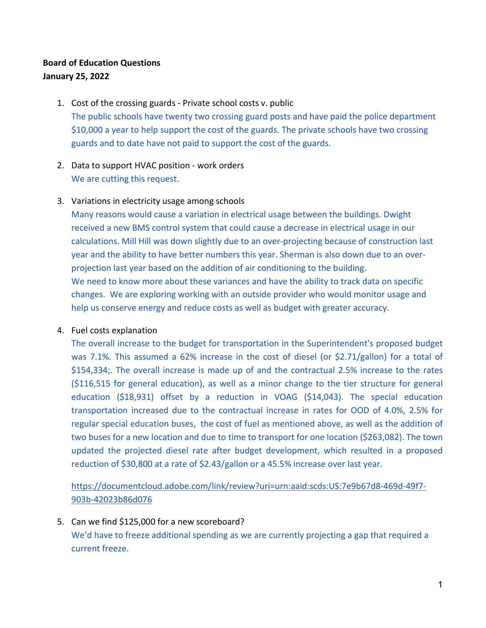# **Board of Education Questions January 25, 2022**

- 1. Cost of the crossing guards Private school costs v. public The public schools have twenty two crossing guard posts and have paid the police department \$10,000 a year to help support the cost of the guards. The private schools have two crossing guards and to date have not paid to support the cost of the guards.
- 2. Data to support HVAC position work orders We are cutting this request.

## 3. Variations in electricity usage among schools

Many reasons would cause a variation in electrical usage between the buildings. Dwight received a new BMS control system that could cause a decrease in electrical usage in our calculations. Mill Hill was down slightly due to an over-projecting because of construction last year and the ability to have better numbers this year. Sherman is also down due to an overprojection last year based on the addition of air conditioning to the building. We need to know more about these variances and have the ability to track data on specific changes. We are exploring working with an outside provider who would monitor usage and help us conserve energy and reduce costs as well as budget with greater accuracy.

### 4. Fuel costs explanation

The overall increase to the budget for transportation in the Superintendent's proposed budget was 7.1%. This assumed a 62% increase in the cost of diesel (or \$2.71/gallon) for a total of \$154,334;. The overall increase is made up of and the contractual 2.5% increase to the rates (\$116,515 for general education), as well as a minor change to the tier structure for general education (\$18,931) offset by a reduction in VOAG (\$14,043). The special education transportation increased due to the contractual increase in rates for OOD of 4.0%, 2.5% for regular special education buses, the cost of fuel as mentioned above, as well as the addition of two buses for a new location and due to time to transport for one location (\$263,082). The town updated the projected diesel rate after budget development, which resulted in a proposed reduction of \$30,800 at a rate of \$2.43/gallon or a 45.5% increase over last year.

[https://documentcloud.adobe.com/link/review?uri=urn:aaid:scds:US:7e9b67d8-469d-49f7-](https://documentcloud.adobe.com/link/review?uri=urn:aaid:scds:US:7e9b67d8-469d-49f7-903b-42023b86d076) [903b-42023b86d076](https://documentcloud.adobe.com/link/review?uri=urn:aaid:scds:US:7e9b67d8-469d-49f7-903b-42023b86d076)

5. Can we find \$125,000 for a new scoreboard? We'd have to freeze additional spending as we are currently projecting a gap that required a current freeze.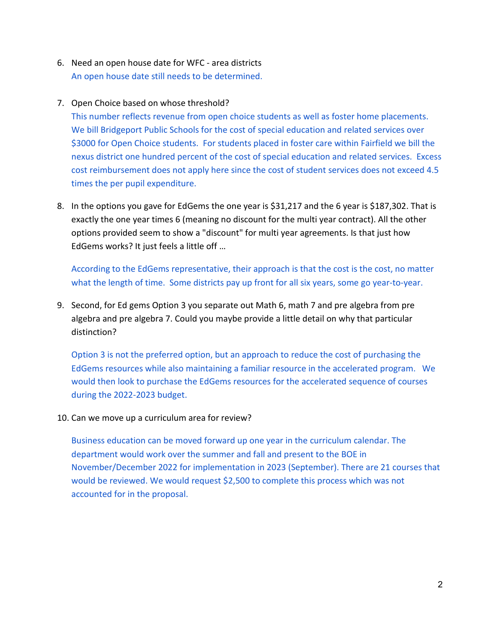- 6. Need an open house date for WFC area districts An open house date still needs to be determined.
- 7. Open Choice based on whose threshold?

This number reflects revenue from open choice students as well as foster home placements. We bill Bridgeport Public Schools for the cost of special education and related services over \$3000 for Open Choice students. For students placed in foster care within Fairfield we bill the nexus district one hundred percent of the cost of special education and related services. Excess cost reimbursement does not apply here since the cost of student services does not exceed 4.5 times the per pupil expenditure.

8. In the options you gave for EdGems the one year is \$31,217 and the 6 year is \$187,302. That is exactly the one year times 6 (meaning no discount for the multi year contract). All the other options provided seem to show a "discount" for multi year agreements. Is that just how EdGems works? It just feels a little off …

According to the EdGems representative, their approach is that the cost is the cost, no matter what the length of time. Some districts pay up front for all six years, some go year-to-year.

9. Second, for Ed gems Option 3 you separate out Math 6, math 7 and pre algebra from pre algebra and pre algebra 7. Could you maybe provide a little detail on why that particular distinction?

Option 3 is not the preferred option, but an approach to reduce the cost of purchasing the EdGems resources while also maintaining a familiar resource in the accelerated program. We would then look to purchase the EdGems resources for the accelerated sequence of courses during the 2022-2023 budget.

10. Can we move up a curriculum area for review?

Business education can be moved forward up one year in the curriculum calendar. The department would work over the summer and fall and present to the BOE in November/December 2022 for implementation in 2023 (September). There are 21 courses that would be reviewed. We would request \$2,500 to complete this process which was not accounted for in the proposal.